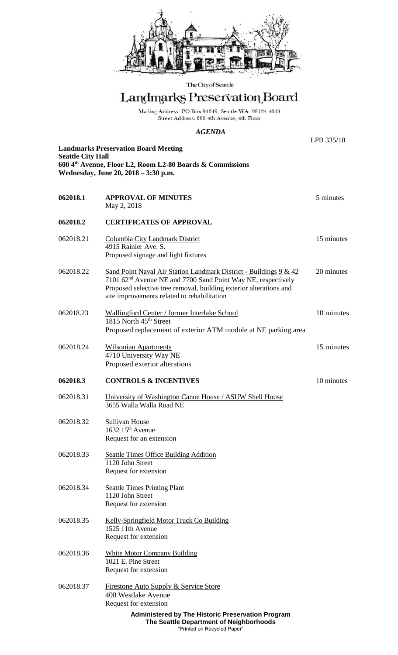

The City of Seattle

## Landmarks Preservation Board

Mailing Address: PO Box 94649, Seattle WA 98124-4649<br>Street Address: 600 4th Avenue, 4th Floor

## *AGENDA*

LPB 335/18

| <b>Seattle City Hall</b>                                  |
|-----------------------------------------------------------|
| 600 4th Avenue, Floor L2, Room L2-80 Boards & Commissions |
| Wednesday, June 20, 2018 – 3:30 p.m.                      |

**Landmarks Preservation Board Meeting**

| 062018.1  | <b>APPROVAL OF MINUTES</b><br>May 2, 2018                                                                                                                                                                                                                          | 5 minutes  |
|-----------|--------------------------------------------------------------------------------------------------------------------------------------------------------------------------------------------------------------------------------------------------------------------|------------|
| 062018.2  | <b>CERTIFICATES OF APPROVAL</b>                                                                                                                                                                                                                                    |            |
| 062018.21 | Columbia City Landmark District<br>4915 Rainier Ave. S.<br>Proposed signage and light fixtures                                                                                                                                                                     | 15 minutes |
| 062018.22 | Sand Point Naval Air Station Landmark District - Buildings 9 & 42<br>7101 62 <sup>nd</sup> Avenue NE and 7700 Sand Point Way NE, respectively<br>Proposed selective tree removal, building exterior alterations and<br>site improvements related to rehabilitation | 20 minutes |
| 062018.23 | Wallingford Center / former Interlake School<br>1815 North 45 <sup>th</sup> Street<br>Proposed replacement of exterior ATM module at NE parking area                                                                                                               | 10 minutes |
| 062018.24 | <b>Wilsonian Apartments</b><br>4710 University Way NE<br>Proposed exterior alterations                                                                                                                                                                             | 15 minutes |
| 062018.3  | <b>CONTROLS &amp; INCENTIVES</b>                                                                                                                                                                                                                                   | 10 minutes |
| 062018.31 | University of Washington Canoe House / ASUW Shell House<br>3655 Walla Walla Road NE                                                                                                                                                                                |            |
| 062018.32 | <b>Sullivan House</b><br>1632 15 <sup>th</sup> Avenue<br>Request for an extension                                                                                                                                                                                  |            |
| 062018.33 | Seattle Times Office Building Addition<br>1120 John Street<br>Request for extension                                                                                                                                                                                |            |
| 062018.34 | <b>Seattle Times Printing Plant</b><br>1120 John Street<br>Request for extension                                                                                                                                                                                   |            |
| 062018.35 | <b>Kelly-Springfield Motor Truck Co Building</b><br>1525 11th Avenue<br>Request for extension                                                                                                                                                                      |            |
| 062018.36 | <b>White Motor Company Building</b><br>1021 E. Pine Street<br>Request for extension                                                                                                                                                                                |            |
| 062018.37 | <u>Firestone Auto Supply &amp; Service Store</u><br>400 Westlake Avenue<br>Request for extension                                                                                                                                                                   |            |
|           | Administered by The Historic Preservation Program                                                                                                                                                                                                                  |            |

**The Seattle Department of Neighborhoods** "Printed on Recycled Paper"